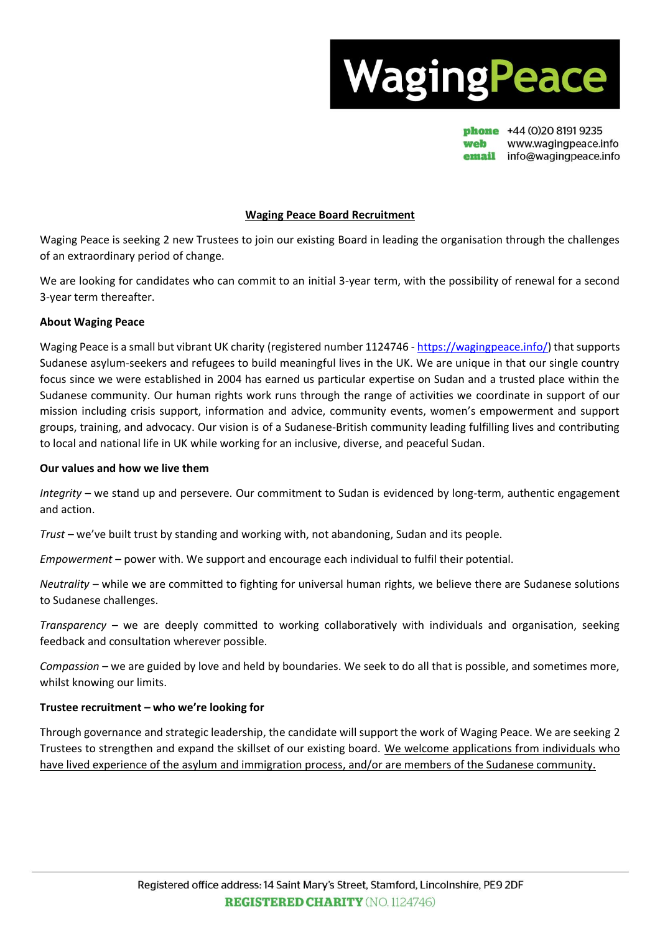

**phone**  $+44(0)2081919235$ weh www.wagingpeace.info email info@wagingpeace.info

## **Waging Peace Board Recruitment**

Waging Peace is seeking 2 new Trustees to join our existing Board in leading the organisation through the challenges of an extraordinary period of change.

We are looking for candidates who can commit to an initial 3-year term, with the possibility of renewal for a second 3-year term thereafter.

### **About Waging Peace**

Waging Peace is a small but vibrant UK charity (registered number 1124746 - [https://wagingpeace.info/\)](https://wagingpeace.info/) that supports Sudanese asylum-seekers and refugees to build meaningful lives in the UK. We are unique in that our single country focus since we were established in 2004 has earned us particular expertise on Sudan and a trusted place within the Sudanese community. Our human rights work runs through the range of activities we coordinate in support of our mission including crisis support, information and advice, community events, women's empowerment and support groups, training, and advocacy. Our vision is of a Sudanese-British community leading fulfilling lives and contributing to local and national life in UK while working for an inclusive, diverse, and peaceful Sudan.

### **Our values and how we live them**

*Integrity* – we stand up and persevere. Our commitment to Sudan is evidenced by long-term, authentic engagement and action.

*Trust* – we've built trust by standing and working with, not abandoning, Sudan and its people.

*Empowerment* – power with. We support and encourage each individual to fulfil their potential.

*Neutrality* – while we are committed to fighting for universal human rights, we believe there are Sudanese solutions to Sudanese challenges.

*Transparency* – we are deeply committed to working collaboratively with individuals and organisation, seeking feedback and consultation wherever possible.

*Compassion* – we are guided by love and held by boundaries. We seek to do all that is possible, and sometimes more, whilst knowing our limits.

### **Trustee recruitment – who we're looking for**

Through governance and strategic leadership, the candidate will support the work of Waging Peace. We are seeking 2 Trustees to strengthen and expand the skillset of our existing board. We welcome applications from individuals who have lived experience of the asylum and immigration process, and/or are members of the Sudanese community.